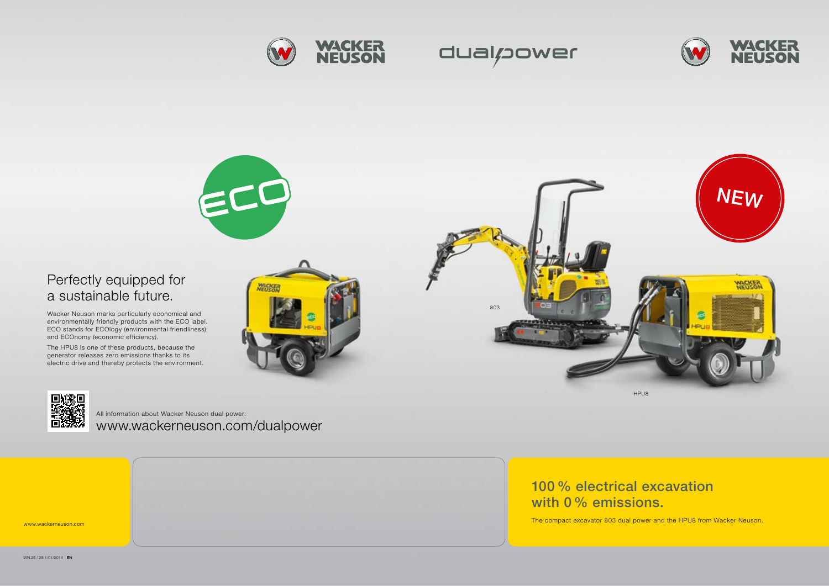www.wackerneuson.com

100 % electrical excavation with 0 % emissions.





The compact excavator 803 dual power and the HPU8 from Wacker Neuson.





HPU8













# Perfectly equipped for a sustainable future.

Wacker Neuson marks particularly economical and environmentally friendly products with the ECO label. ECO stands for ECOlogy (environmental friendliness) and ECOnomy (economic efficiency).

The HPU8 is one of these products, because the generator releases zero emissions thanks to its electric drive and thereby protects the environment.



www.wackerneuson.com/dualpower All information about Wacker Neuson dual power: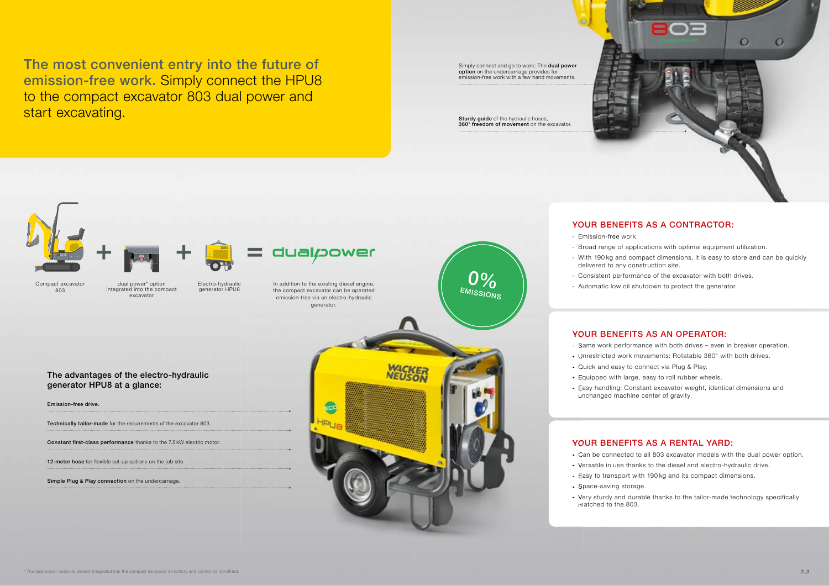### YOUR BENEFITS AS A RENTAL YARD:

- Can be connected to all 803 excavator models with the dual power option.
- Versatile in use thanks to the diesel and electro-hydraulic drive.
- Easy to transport with 190 kg and its compact dimensions.
	-
- Very sturdy and durable thanks to the tailor-made technology specifically matched to the 803.

Sturdy guide of the hydraulic hoses, 360° freedom of movement on the excavator.

Simply connect and go to work: The dual power option on the undercarriage provides for emission-free work with a few hand movements.

### - Emission-free work. dual/20wer HPU8 0% Electro-hydraulic In addition to the existing diesel engine, Compact excavator dual power\* option EMISSIONS integrated into the compact generator HPU8 803 the compact excavator can be operated excavator emission-free via an electro-hydraulic generator. The advantages of the electro-hydraulic<br>
Senator free dive.<br>
The advantages are dive.<br>
The advantage of the sequentes to the constant of the exception of the advantage of the constant of the advantage of the advantage of t generator HPU8 at a glance: Emission-free drive. Technically tailor-made for the requirements of the excavator 803. Constant first-class performance thanks to the 7.5 kW electric motor. 12-meter hose for flexible set-up options on the job site. Simple Plug & Play connection on the undercarriage. - Space-saving storage.

## YOUR BENEFITS AS A CONTRACTOR:

- Broad range of applications with optimal equipment utilization.
- With 190 kg and compact dimensions, it is easy to store and can be quickly delivered to any construction site.
- Consistent performance of the excavator with both drives.
- Automatic low oil shutdown to protect the generator.

### YOUR BENEFITS AS AN OPERATOR:

- Same work performance with both drives even in breaker operation.
- Unrestricted work movements: Rotatable 360° with both drives.
- Quick and easy to connect via Plug & Play.
- Equipped with large, easy to roll rubber wheels.
- Easy handling: Constant excavator weight, identical dimensions and
- unchanged machine center of gravity.

The most convenient entry into the future of emission-free work. Simply connect the HPU8 to the compact excavator 803 dual power and start excavating.

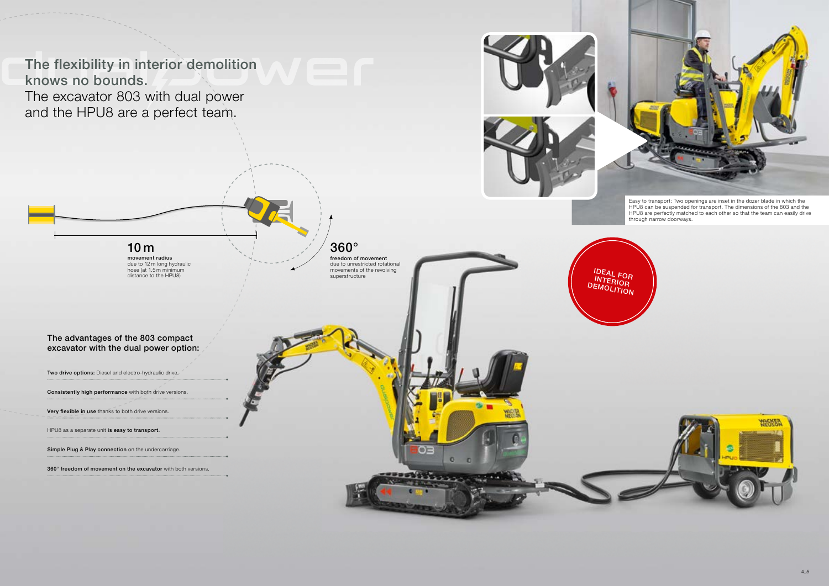Easy to transport: Two openings are inset in the dozer blade in which the HPU8 can be suspended for transport. The dimensions of the 803 and the HPU8 are perfectly matched to each other so that the team can easily drive through narrow doorways.

The flexibility in interior demolition knows no bounds. The excavator 803 with dual power and the HPU8 are a perfect team.







The advantages of the 803 compact excavator with the dual power option:

Two drive options: Diesel and electro-hydraulic drive.

Consistently high performance with both drive versions.

Very flexible in use thanks to both drive versions.

HPU8 as a separate unit is easy to transport.

Simple Plug & Play connection on the undercarriage.

360° freedom of movement on the excavator with both versions.



# 360°

freedom of movement due to unrestricted rotational movements of the revolving superstructure

### 10 m movement radius

due to 12 m long hydraulic hose (at 1.5 m minimum distance to the HPU8)